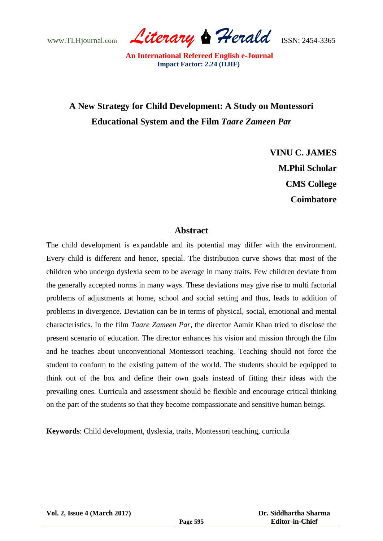www.TLHjournal.com *Literary Herald*ISSN: 2454-3365

# **A New Strategy for Child Development: A Study on Montessori Educational System and the Film** *Taare Zameen Par*

**VINU C. JAMES M.Phil Scholar CMS College Coimbatore**

### **Abstract**

The child development is expandable and its potential may differ with the environment. Every child is different and hence, special. The distribution curve shows that most of the children who undergo dyslexia seem to be average in many traits. Few children deviate from the generally accepted norms in many ways. These deviations may give rise to multi factorial problems of adjustments at home, school and social setting and thus, leads to addition of problems in divergence. Deviation can be in terms of physical, social, emotional and mental characteristics. In the film *Taare Zameen Par*, the director Aamir Khan tried to disclose the present scenario of education. The director enhances his vision and mission through the film and he teaches about unconventional Montessori teaching. Teaching should not force the student to conform to the existing pattern of the world. The students should be equipped to think out of the box and define their own goals instead of fitting their ideas with the prevailing ones. Curricula and assessment should be flexible and encourage critical thinking on the part of the students so that they become compassionate and sensitive human beings.

**Keywords**: Child development, dyslexia, traits, Montessori teaching, curricula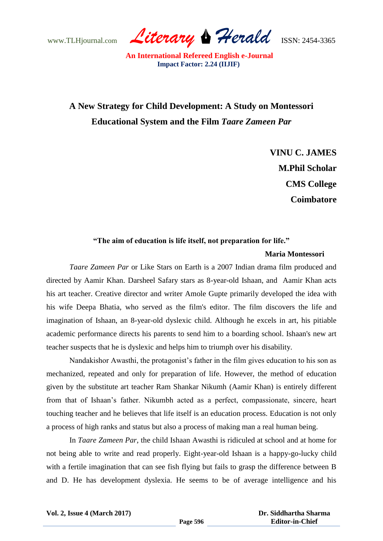www.TLHjournal.com *Literary Herald*ISSN: 2454-3365

# **A New Strategy for Child Development: A Study on Montessori Educational System and the Film** *Taare Zameen Par*

**VINU C. JAMES M.Phil Scholar CMS College Coimbatore**

### **"The aim of education is life itself, not preparation for life."**

#### **Maria Montessori**

*Taare Zameen Par* or Like Stars on Earth is a 2007 Indian drama film produced and directed by Aamir Khan. Darsheel Safary stars as 8-year-old Ishaan, and Aamir Khan acts his art teacher. Creative director and writer Amole Gupte primarily developed the idea with his wife Deepa Bhatia, who served as the film's editor. The film discovers the life and imagination of Ishaan, an 8-year-old dyslexic child. Although he excels in art, his pitiable academic performance directs his parents to send him to a boarding school. Ishaan's new art teacher suspects that he is dyslexic and helps him to triumph over his disability.

Nandakishor Awasthi, the protagonist's father in the film gives education to his son as mechanized, repeated and only for preparation of life. However, the method of education given by the substitute art teacher Ram Shankar Nikumh (Aamir Khan) is entirely different from that of Ishaan"s father. Nikumbh acted as a perfect, compassionate, sincere, heart touching teacher and he believes that life itself is an education process. Education is not only a process of high ranks and status but also a process of making man a real human being.

In *Taare Zameen Par*, the child Ishaan Awasthi is ridiculed at school and at home for not being able to write and read properly. Eight-year-old Ishaan is a happy-go-lucky child with a fertile imagination that can see fish flying but fails to grasp the difference between B and D. He has development dyslexia. He seems to be of average intelligence and his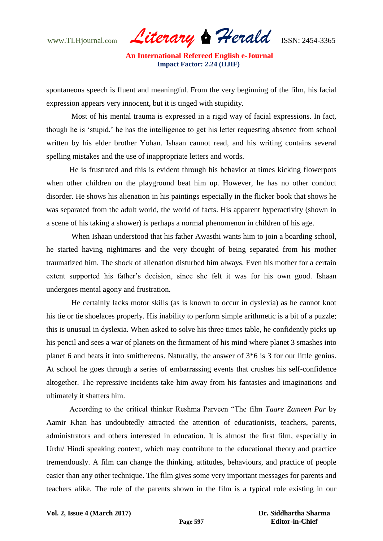www.TLHjournal.com *Literary Herald*ISSN: 2454-3365

spontaneous speech is fluent and meaningful. From the very beginning of the film, his facial expression appears very innocent, but it is tinged with stupidity.

Most of his mental trauma is expressed in a rigid way of facial expressions. In fact, though he is "stupid," he has the intelligence to get his letter requesting absence from school written by his elder brother Yohan. Ishaan cannot read, and his writing contains several spelling mistakes and the use of inappropriate letters and words.

He is frustrated and this is evident through his behavior at times kicking flowerpots when other children on the playground beat him up. However, he has no other conduct disorder. He shows his alienation in his paintings especially in the flicker book that shows he was separated from the adult world, the world of facts. His apparent hyperactivity (shown in a scene of his taking a shower) is perhaps a normal phenomenon in children of his age.

When Ishaan understood that his father Awasthi wants him to join a boarding school, he started having nightmares and the very thought of being separated from his mother traumatized him. The shock of alienation disturbed him always. Even his mother for a certain extent supported his father's decision, since she felt it was for his own good. Ishaan undergoes mental agony and frustration.

He certainly lacks motor skills (as is known to occur in dyslexia) as he cannot knot his tie or tie shoelaces properly. His inability to perform simple arithmetic is a bit of a puzzle; this is unusual in dyslexia. When asked to solve his three times table, he confidently picks up his pencil and sees a war of planets on the firmament of his mind where planet 3 smashes into planet 6 and beats it into smithereens. Naturally, the answer of 3\*6 is 3 for our little genius. At school he goes through a series of embarrassing events that crushes his self-confidence altogether. The repressive incidents take him away from his fantasies and imaginations and ultimately it shatters him.

According to the critical thinker Reshma Parveen "The film *Taare Zameen Par* by Aamir Khan has undoubtedly attracted the attention of educationists, teachers, parents, administrators and others interested in education. It is almost the first film, especially in Urdu/ Hindi speaking context, which may contribute to the educational theory and practice tremendously. A film can change the thinking, attitudes, behaviours, and practice of people easier than any other technique. The film gives some very important messages for parents and teachers alike. The role of the parents shown in the film is a typical role existing in our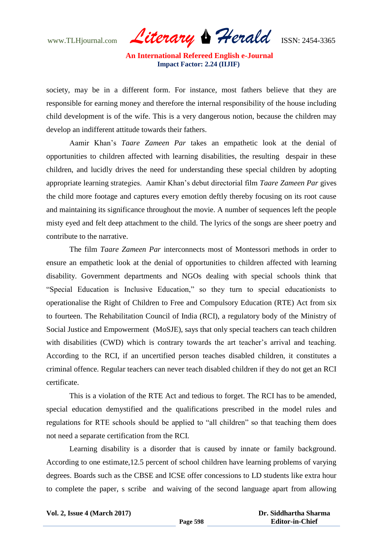www.TLHjournal.com *Literary Herald*ISSN: 2454-3365

society, may be in a different form. For instance, most fathers believe that they are responsible for earning money and therefore the internal responsibility of the house including child development is of the wife. This is a very dangerous notion, because the children may develop an indifferent attitude towards their fathers.

Aamir Khan"s *Taare Zameen Par* takes an empathetic look at the denial of opportunities to children affected with learning disabilities, the resulting despair in these children, and lucidly drives the need for understanding these special children by adopting appropriate learning strategies. Aamir Khan"s debut directorial film *Taare Zameen Par* gives the child more footage and captures every emotion deftly thereby focusing on its root cause and maintaining its significance throughout the movie. A number of sequences left the people misty eyed and felt deep attachment to the child. The lyrics of the songs are sheer poetry and contribute to the narrative.

The film *Taare Zameen Par* interconnects most of Montessori methods in order to ensure an empathetic look at the denial of opportunities to children affected with learning disability. Government departments and NGOs dealing with special schools think that "Special Education is Inclusive Education," so they turn to special educationists to operationalise the Right of Children to Free and Compulsory Education (RTE) Act from six to fourteen. The Rehabilitation Council of India (RCI), a regulatory body of the Ministry of Social Justice and Empowerment (MoSJE), says that only special teachers can teach children with disabilities (CWD) which is contrary towards the art teacher's arrival and teaching. According to the RCI, if an uncertified person teaches disabled children, it constitutes a criminal offence. Regular teachers can never teach disabled children if they do not get an RCI certificate.

This is a violation of the RTE Act and tedious to forget. The RCI has to be amended, special education demystified and the qualifications prescribed in the model rules and regulations for RTE schools should be applied to "all children" so that teaching them does not need a separate certification from the RCI.

Learning disability is a disorder that is caused by innate or family background. According to one estimate,12.5 percent of school children have learning problems of varying degrees. Boards such as the CBSE and ICSE offer concessions to LD students like extra hour to complete the paper, s scribe and waiving of the second language apart from allowing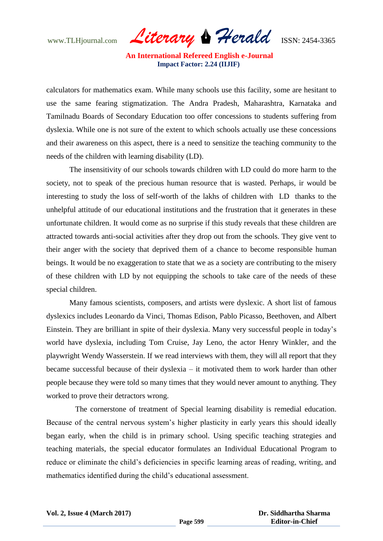www.TLHjournal.com *Literary Herald*ISSN: 2454-3365

calculators for mathematics exam. While many schools use this facility, some are hesitant to use the same fearing stigmatization. The Andra Pradesh, Maharashtra, Karnataka and Tamilnadu Boards of Secondary Education too offer concessions to students suffering from dyslexia. While one is not sure of the extent to which schools actually use these concessions and their awareness on this aspect, there is a need to sensitize the teaching community to the needs of the children with learning disability (LD).

The insensitivity of our schools towards children with LD could do more harm to the society, not to speak of the precious human resource that is wasted. Perhaps, ir would be interesting to study the loss of self-worth of the lakhs of children with LD thanks to the unhelpful attitude of our educational institutions and the frustration that it generates in these unfortunate children. It would come as no surprise if this study reveals that these children are attracted towards anti-social activities after they drop out from the schools. They give vent to their anger with the society that deprived them of a chance to become responsible human beings. It would be no exaggeration to state that we as a society are contributing to the misery of these children with LD by not equipping the schools to take care of the needs of these special children.

Many famous scientists, composers, and artists were dyslexic. A short list of famous dyslexics includes Leonardo da Vinci, Thomas Edison, Pablo Picasso, Beethoven, and Albert Einstein. They are brilliant in spite of their dyslexia. Many very successful people in today"s world have dyslexia, including Tom Cruise, Jay Leno, the actor Henry Winkler, and the playwright Wendy Wasserstein. If we read interviews with them, they will all report that they became successful because of their dyslexia – it motivated them to work harder than other people because they were told so many times that they would never amount to anything. They worked to prove their detractors wrong.

 The cornerstone of treatment of Special learning disability is remedial education. Because of the central nervous system"s higher plasticity in early years this should ideally began early, when the child is in primary school. Using specific teaching strategies and teaching materials, the special educator formulates an Individual Educational Program to reduce or eliminate the child"s deficiencies in specific learning areas of reading, writing, and mathematics identified during the child"s educational assessment.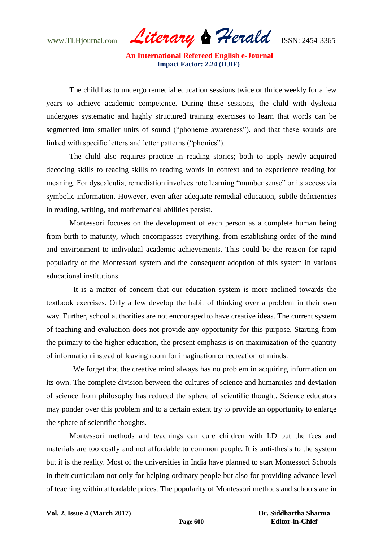www.TLHjournal.com *Literary Herald*ISSN: 2454-3365

 The child has to undergo remedial education sessions twice or thrice weekly for a few years to achieve academic competence. During these sessions, the child with dyslexia undergoes systematic and highly structured training exercises to learn that words can be segmented into smaller units of sound ("phoneme awareness"), and that these sounds are linked with specific letters and letter patterns ("phonics").

The child also requires practice in reading stories; both to apply newly acquired decoding skills to reading skills to reading words in context and to experience reading for meaning. For dyscalculia, remediation involves rote learning "number sense" or its access via symbolic information. However, even after adequate remedial education, subtle deficiencies in reading, writing, and mathematical abilities persist.

Montessori focuses on the development of each person as a complete human being from birth to maturity, which encompasses everything, from establishing order of the mind and environment to individual academic achievements. This could be the reason for rapid popularity of the Montessori system and the consequent adoption of this system in various educational institutions.

 It is a matter of concern that our education system is more inclined towards the textbook exercises. Only a few develop the habit of thinking over a problem in their own way. Further, school authorities are not encouraged to have creative ideas. The current system of teaching and evaluation does not provide any opportunity for this purpose. Starting from the primary to the higher education, the present emphasis is on maximization of the quantity of information instead of leaving room for imagination or recreation of minds.

 We forget that the creative mind always has no problem in acquiring information on its own. The complete division between the cultures of science and humanities and deviation of science from philosophy has reduced the sphere of scientific thought. Science educators may ponder over this problem and to a certain extent try to provide an opportunity to enlarge the sphere of scientific thoughts.

Montessori methods and teachings can cure children with LD but the fees and materials are too costly and not affordable to common people. It is anti-thesis to the system but it is the reality. Most of the universities in India have planned to start Montessori Schools in their curriculam not only for helping ordinary people but also for providing advance level of teaching within affordable prices. The popularity of Montessori methods and schools are in